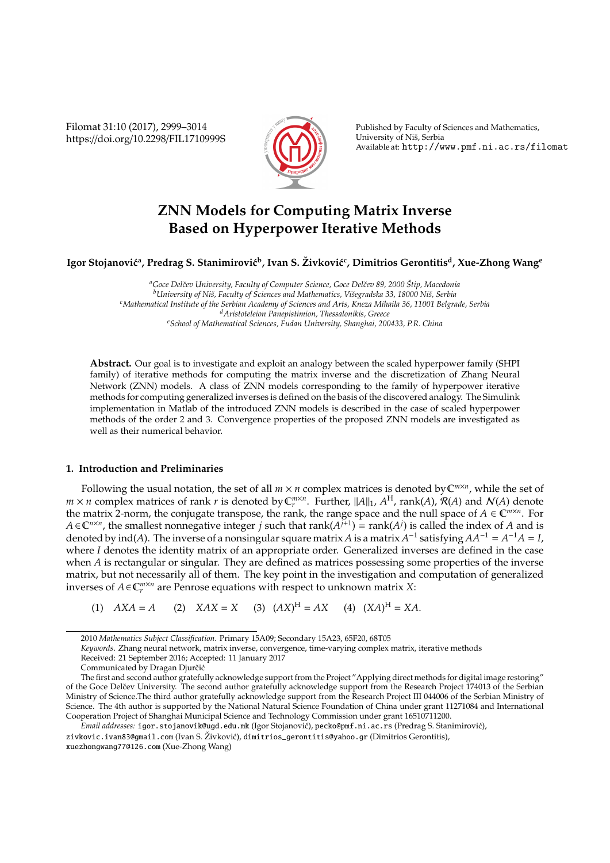Filomat 31:10 (2017), 2999–3014 https://doi.org/10.2298/FIL1710999S



Published by Faculty of Sciences and Mathematics, University of Niš, Serbia Available at: http://www.pmf.ni.ac.rs/filomat

# **ZNN Models for Computing Matrix Inverse Based on Hyperpower Iterative Methods**

Igor Stojanović<sup>a</sup>, Predrag S. Stanimirović<sup>b</sup>, Ivan S. Živković<sup>c</sup>, Dimitrios Gerontitis<sup>d</sup>, Xue-Zhong Wang<sup>e</sup>

*<sup>a</sup>Goce Delˇcev University, Faculty of Computer Science, Goce Delˇcev 89, 2000 Stip, Macedonia ˇ b* University of Niš, Faculty of Sciences and Mathematics, Višegradska 33, 18000 Niš, Serbia *<sup>c</sup>Mathematical Institute of the Serbian Academy of Sciences and Arts, Kneza Mihaila 36, 11001 Belgrade, Serbia <sup>d</sup>Aristoteleion Panepistimion, Thessalonikis, Greece <sup>e</sup>School of Mathematical Sciences, Fudan University, Shanghai, 200433, P.R. China*

**Abstract.** Our goal is to investigate and exploit an analogy between the scaled hyperpower family (SHPI family) of iterative methods for computing the matrix inverse and the discretization of Zhang Neural Network (ZNN) models. A class of ZNN models corresponding to the family of hyperpower iterative methods for computing generalized inverses is defined on the basis of the discovered analogy. The Simulink implementation in Matlab of the introduced ZNN models is described in the case of scaled hyperpower methods of the order 2 and 3. Convergence properties of the proposed ZNN models are investigated as well as their numerical behavior.

## **1. Introduction and Preliminaries**

Following the usual notation, the set of all  $m \times n$  complex matrices is denoted by  $\mathbb{C}^{m \times n}$ , while the set of  $m \times n$  complex matrices of rank *r* is denoted by  $C_r^{m \times n}$ . Further,  $||A||_1$ ,  $A^H$ , rank(A),  $\mathcal{R}(A)$  and  $\mathcal{N}(A)$  denote the matrix 2-norm, the conjugate transpose, the rank, the range space and the null space of  $A \in \mathbb{C}^{m \times n}$ . For *A* ∈  $\mathbb{C}^{n\times n}$ , the smallest nonnegative integer *j* such that rank( $A^{j+1}$ ) = rank( $A^{j}$ ) is called the index of *A* and is denoted by ind(*A*). The inverse of a nonsingular square matrix *A* is a matrix  $A^{-1}$  satisfying  $AA^{-1} = A^{-1}A = I$ , where *I* denotes the identity matrix of an appropriate order. Generalized inverses are defined in the case when *A* is rectangular or singular. They are defined as matrices possessing some properties of the inverse matrix, but not necessarily all of them. The key point in the investigation and computation of generalized inverses of  $A \in \mathbb{C}_r^{m \times n}$  are Penrose equations with respect to unknown matrix *X*:

(1)  $AXA = A$  (2)  $XAX = X$  (3)  $(AX)^{H} = AX$  (4)  $(XA)^{H} = XA$ .

zivkovic.ivan83@gmail.com (Ivan S. Živković), dimitrios\_gerontitis@yahoo.gr (Dimitrios Gerontitis), xuezhongwang77@126.com (Xue-Zhong Wang)

<sup>2010</sup> *Mathematics Subject Classification*. Primary 15A09; Secondary 15A23, 65F20, 68T05

*Keywords*. Zhang neural network, matrix inverse, convergence, time-varying complex matrix, iterative methods

Received: 21 September 2016; Accepted: 11 January 2017

Communicated by Dragan Djurčić

The first and second author gratefully acknowledge support from the Project "Applying direct methods for digital image restoring" of the Goce Delčev University. The second author gratefully acknowledge support from the Research Project 174013 of the Serbian Ministry of Science.The third author gratefully acknowledge support from the Research Project III 044006 of the Serbian Ministry of Science. The 4th author is supported by the National Natural Science Foundation of China under grant 11271084 and International Cooperation Project of Shanghai Municipal Science and Technology Commission under grant 16510711200.

*Email addresses:* igor.stojanovik@ugd.edu.mk (Igor Stojanovic), ´ pecko@pmf.ni.ac.rs (Predrag S. Stanimirovic), ´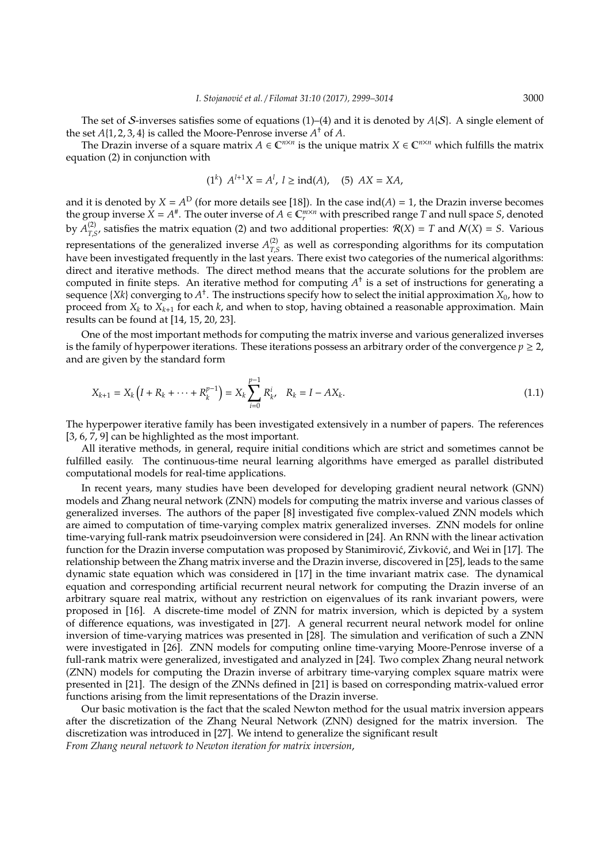The set of S-inverses satisfies some of equations (1)–(4) and it is denoted by *A*{S}. A single element of the set  $A\{1, 2, 3, 4\}$  is called the Moore-Penrose inverse  $A^{\dagger}$  of  $A$ .

The Drazin inverse of a square matrix  $A \in \mathbb{C}^{n \times n}$  is the unique matrix  $X \in \mathbb{C}^{n \times n}$  which fulfills the matrix equation (2) in conjunction with

$$
(1^k)
$$
  $A^{l+1}X = A^l$ ,  $l \geq \text{ind}(A)$ , (5)  $AX = XA$ ,

and it is denoted by  $X = A^D$  (for more details see [18]). In the case ind(*A*) = 1, the Drazin inverse becomes the group inverse  $X = A^*$ . The outer inverse of  $A \in \mathbb{C}_r^{m \times n}$  with prescribed range *T* and null space *S*, denoted by  $A^{(2)}_{T}$  $T_{LS}^{(2)}$ , satisfies the matrix equation (2) and two additional properties:  $R(X) = T$  and  $N(X) = S$ . Various representations of the generalized inverse  $A^{(2)}_{T}$  $T_{LS}^{(2)}$  as well as corresponding algorithms for its computation have been investigated frequently in the last years. There exist two categories of the numerical algorithms: direct and iterative methods. The direct method means that the accurate solutions for the problem are computed in finite steps. An iterative method for computing  $A^{\dagger}$  is a set of instructions for generating a sequence {*Xk*} converging to  $A^{\dagger}$ . The instructions specify how to select the initial approximation  $X_0$ , how to proceed from  $X_k$  to  $X_{k+1}$  for each  $k$ , and when to stop, having obtained a reasonable approximation. Main results can be found at [14, 15, 20, 23].

One of the most important methods for computing the matrix inverse and various generalized inverses is the family of hyperpower iterations. These iterations possess an arbitrary order of the convergence  $p \geq 2$ , and are given by the standard form

$$
X_{k+1} = X_k \left( I + R_k + \dots + R_k^{p-1} \right) = X_k \sum_{i=0}^{p-1} R_k^i, \quad R_k = I - AX_k. \tag{1.1}
$$

The hyperpower iterative family has been investigated extensively in a number of papers. The references [3, 6, 7, 9] can be highlighted as the most important.

All iterative methods, in general, require initial conditions which are strict and sometimes cannot be fulfilled easily. The continuous-time neural learning algorithms have emerged as parallel distributed computational models for real-time applications.

In recent years, many studies have been developed for developing gradient neural network (GNN) models and Zhang neural network (ZNN) models for computing the matrix inverse and various classes of generalized inverses. The authors of the paper [8] investigated five complex-valued ZNN models which are aimed to computation of time-varying complex matrix generalized inverses. ZNN models for online time-varying full-rank matrix pseudoinversion were considered in [24]. An RNN with the linear activation function for the Drazin inverse computation was proposed by Stanimirović, Zivković, and Wei in [17]. The relationship between the Zhang matrix inverse and the Drazin inverse, discovered in [25], leads to the same dynamic state equation which was considered in [17] in the time invariant matrix case. The dynamical equation and corresponding artificial recurrent neural network for computing the Drazin inverse of an arbitrary square real matrix, without any restriction on eigenvalues of its rank invariant powers, were proposed in [16]. A discrete-time model of ZNN for matrix inversion, which is depicted by a system of difference equations, was investigated in [27]. A general recurrent neural network model for online inversion of time-varying matrices was presented in [28]. The simulation and verification of such a ZNN were investigated in [26]. ZNN models for computing online time-varying Moore-Penrose inverse of a full-rank matrix were generalized, investigated and analyzed in [24]. Two complex Zhang neural network (ZNN) models for computing the Drazin inverse of arbitrary time-varying complex square matrix were presented in [21]. The design of the ZNNs defined in [21] is based on corresponding matrix-valued error functions arising from the limit representations of the Drazin inverse.

Our basic motivation is the fact that the scaled Newton method for the usual matrix inversion appears after the discretization of the Zhang Neural Network (ZNN) designed for the matrix inversion. The discretization was introduced in [27]. We intend to generalize the significant result *From Zhang neural network to Newton iteration for matrix inversion*,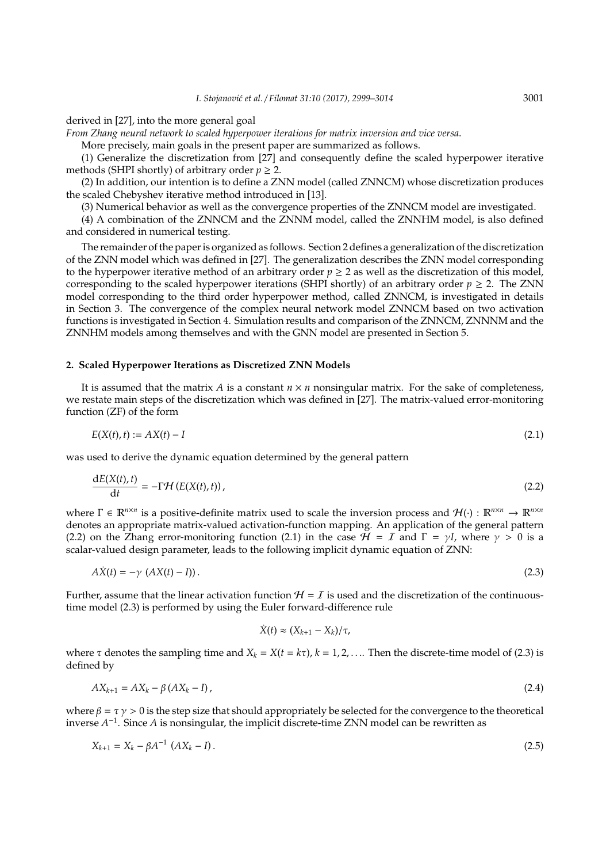# derived in [27], into the more general goal

*From Zhang neural network to scaled hyperpower iterations for matrix inversion and vice versa*.

More precisely, main goals in the present paper are summarized as follows.

(1) Generalize the discretization from [27] and consequently define the scaled hyperpower iterative methods (SHPI shortly) of arbitrary order  $p \geq 2$ .

(2) In addition, our intention is to define a ZNN model (called ZNNCM) whose discretization produces the scaled Chebyshev iterative method introduced in [13].

(3) Numerical behavior as well as the convergence properties of the ZNNCM model are investigated.

(4) A combination of the ZNNCM and the ZNNM model, called the ZNNHM model, is also defined and considered in numerical testing.

The remainder of the paper is organized as follows. Section 2 defines a generalization of the discretization of the ZNN model which was defined in [27]. The generalization describes the ZNN model corresponding to the hyperpower iterative method of an arbitrary order  $p \geq 2$  as well as the discretization of this model, corresponding to the scaled hyperpower iterations (SHPI shortly) of an arbitrary order  $p \ge 2$ . The ZNN model corresponding to the third order hyperpower method, called ZNNCM, is investigated in details in Section 3. The convergence of the complex neural network model ZNNCM based on two activation functions is investigated in Section 4. Simulation results and comparison of the ZNNCM, ZNNNM and the ZNNHM models among themselves and with the GNN model are presented in Section 5.

#### **2. Scaled Hyperpower Iterations as Discretized ZNN Models**

It is assumed that the matrix *A* is a constant  $n \times n$  nonsingular matrix. For the sake of completeness, we restate main steps of the discretization which was defined in [27]. The matrix-valued error-monitoring function (ZF) of the form

$$
E(X(t),t) := AX(t) - I \tag{2.1}
$$

was used to derive the dynamic equation determined by the general pattern

$$
\frac{\mathrm{d}E(X(t),t)}{\mathrm{d}t} = -\Gamma \mathcal{H}\left(E(X(t),t)\right),\tag{2.2}
$$

where  $\Gamma \in \mathbb{R}^{n \times n}$  is a positive-definite matrix used to scale the inversion process and  $\mathcal{H}(\cdot) : \mathbb{R}^{n \times n} \to \mathbb{R}^{n \times n}$ denotes an appropriate matrix-valued activation-function mapping. An application of the general pattern (2.2) on the Zhang error-monitoring function (2.1) in the case  $H = I$  and  $\Gamma = \gamma I$ , where  $\gamma > 0$  is a scalar-valued design parameter, leads to the following implicit dynamic equation of ZNN:

$$
A\dot{X}(t) = -\gamma \left( AX(t) - I\right). \tag{2.3}
$$

Further, assume that the linear activation function  $H = I$  is used and the discretization of the continuoustime model (2.3) is performed by using the Euler forward-difference rule

$$
\dot{X}(t) \approx (X_{k+1} - X_k)/\tau,
$$

where  $\tau$  denotes the sampling time and  $X_k = X(t = k\tau)$ ,  $k = 1, 2, \ldots$ . Then the discrete-time model of (2.3) is defined by

$$
AX_{k+1} = AX_k - \beta (AX_k - I), \qquad (2.4)
$$

where  $\beta = \tau \gamma > 0$  is the step size that should appropriately be selected for the convergence to the theoretical inverse *A* −1 . Since *A* is nonsingular, the implicit discrete-time ZNN model can be rewritten as

$$
X_{k+1} = X_k - \beta A^{-1} (AX_k - I). \tag{2.5}
$$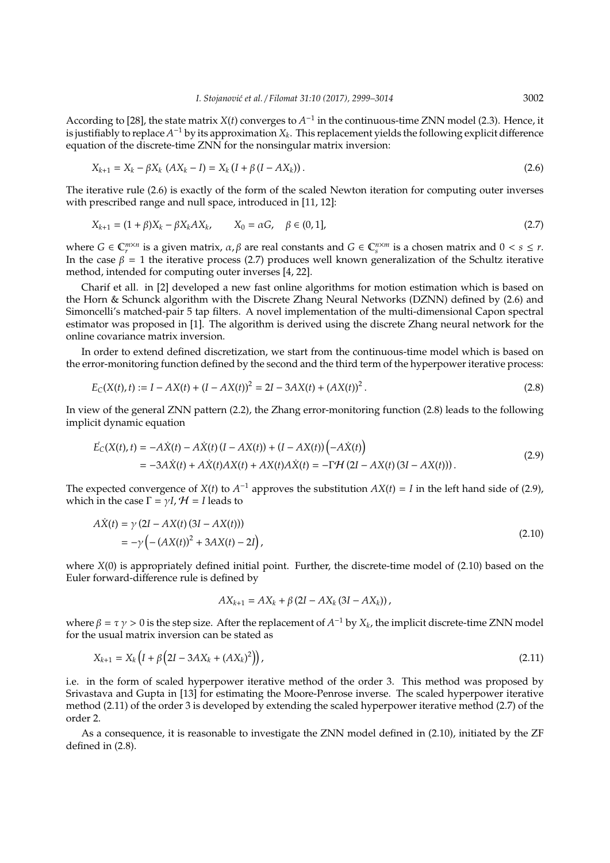According to [28], the state matrix  $X(t)$  converges to  $A^{-1}$  in the continuous-time ZNN model (2.3). Hence, it is justifiably to replace  $A^{-1}$  by its approximation  $X_k$ . This replacement yields the following explicit difference equation of the discrete-time ZNN for the nonsingular matrix inversion:

$$
X_{k+1} = X_k - \beta X_k (AX_k - I) = X_k (I + \beta (I - AX_k)).
$$
\n(2.6)

The iterative rule (2.6) is exactly of the form of the scaled Newton iteration for computing outer inverses with prescribed range and null space, introduced in [11, 12]:

$$
X_{k+1} = (1 + \beta)X_k - \beta X_k A X_k, \qquad X_0 = \alpha G, \quad \beta \in (0, 1],
$$
\n(2.7)

where  $G \in \mathbb{C}_r^{m \times n}$  is a given matrix,  $\alpha, \beta$  are real constants and  $G \in \mathbb{C}_s^{n \times m}$  is a chosen matrix and  $0 < s \leq r$ . In the case  $\beta = 1$  the iterative process (2.7) produces well known generalization of the Schultz iterative method, intended for computing outer inverses [4, 22].

Charif et all. in [2] developed a new fast online algorithms for motion estimation which is based on the Horn & Schunck algorithm with the Discrete Zhang Neural Networks (DZNN) defined by (2.6) and Simoncelli's matched-pair 5 tap filters. A novel implementation of the multi-dimensional Capon spectral estimator was proposed in [1]. The algorithm is derived using the discrete Zhang neural network for the online covariance matrix inversion.

In order to extend defined discretization, we start from the continuous-time model which is based on the error-monitoring function defined by the second and the third term of the hyperpower iterative process:

$$
E_C(X(t),t) := I - AX(t) + (I - AX(t))^2 = 2I - 3AX(t) + (AX(t))^2.
$$
\n(2.8)

In view of the general ZNN pattern (2.2), the Zhang error-monitoring function (2.8) leads to the following implicit dynamic equation

$$
\begin{split} \dot{E}_{C}(X(t),t) &= -A\dot{X}(t) - A\dot{X}(t)\left(I - AX(t)\right) + \left(I - AX(t)\right)\left(-A\dot{X}(t)\right) \\ &= -3A\dot{X}(t) + A\dot{X}(t)AX(t) + AX(t)A\dot{X}(t) = -\Gamma\mathcal{H}\left(2I - AX(t)\right)(3I - AX(t))). \end{split} \tag{2.9}
$$

The expected convergence of *X*(*t*) to  $A^{-1}$  approves the substitution  $AX(t) = I$  in the left hand side of (2.9), which in the case  $\Gamma = \gamma I$ ,  $H = I$  leads to

$$
\begin{aligned} A\dot{X}(t) &= \gamma \left(2I - AX(t)(3I - AX(t))\right) \\ &= -\gamma \left(-\left(AX(t)\right)^2 + 3AX(t) - 2I\right), \end{aligned} \tag{2.10}
$$

where *X*(0) is appropriately defined initial point. Further, the discrete-time model of (2.10) based on the Euler forward-difference rule is defined by

$$
AX_{k+1}=AX_k+\beta\left(2I-AX_k\left(3I-AX_k\right)\right),
$$

where  $\beta = \tau \gamma > 0$  is the step size. After the replacement of  $A^{-1}$  by  $X_k$ , the implicit discrete-time ZNN model for the usual matrix inversion can be stated as

$$
X_{k+1} = X_k \left( I + \beta \left( 2I - 3AX_k + (AX_k)^2 \right) \right), \tag{2.11}
$$

i.e. in the form of scaled hyperpower iterative method of the order 3. This method was proposed by Srivastava and Gupta in [13] for estimating the Moore-Penrose inverse. The scaled hyperpower iterative method (2.11) of the order 3 is developed by extending the scaled hyperpower iterative method (2.7) of the order 2.

As a consequence, it is reasonable to investigate the ZNN model defined in (2.10), initiated by the ZF defined in (2.8).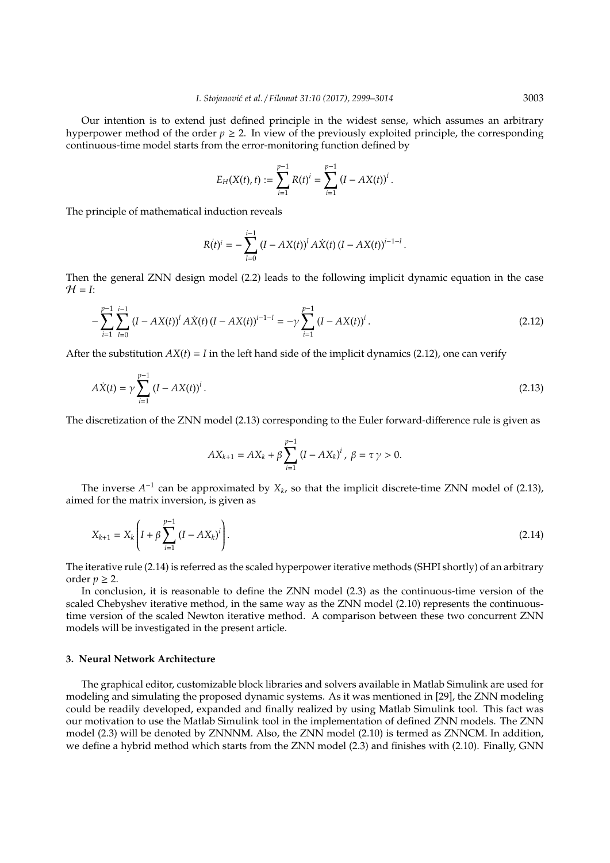Our intention is to extend just defined principle in the widest sense, which assumes an arbitrary hyperpower method of the order  $p \ge 2$ . In view of the previously exploited principle, the corresponding continuous-time model starts from the error-monitoring function defined by

$$
E_H(X(t),t) := \sum_{i=1}^{p-1} R(t)^i = \sum_{i=1}^{p-1} (I - AX(t))^i.
$$

The principle of mathematical induction reveals

$$
R(t)^{i} = -\sum_{l=0}^{i-1} (I - AX(t))^{l} A \dot{X}(t) (I - AX(t))^{i-1-l}.
$$

Then the general ZNN design model (2.2) leads to the following implicit dynamic equation in the case  $H = I$ :

$$
-\sum_{i=1}^{p-1} \sum_{l=0}^{i-1} (I - AX(t))^{l} A\dot{X}(t) (I - AX(t))^{i-1-l} = -\gamma \sum_{i=1}^{p-1} (I - AX(t))^{i}.
$$
\n(2.12)

After the substitution  $AX(t) = I$  in the left hand side of the implicit dynamics (2.12), one can verify

$$
A\dot{X}(t) = \gamma \sum_{i=1}^{p-1} (I - AX(t))^{i}.
$$
\n(2.13)

The discretization of the ZNN model (2.13) corresponding to the Euler forward-difference rule is given as

$$
AX_{k+1} = AX_k + \beta \sum_{i=1}^{p-1} (I - AX_k)^i, \ \beta = \tau \gamma > 0.
$$

The inverse  $A^{-1}$  can be approximated by  $X_k$ , so that the implicit discrete-time ZNN model of (2.13), aimed for the matrix inversion, is given as

$$
X_{k+1} = X_k \left( I + \beta \sum_{i=1}^{p-1} (I - AX_k)^i \right). \tag{2.14}
$$

The iterative rule (2.14) is referred as the scaled hyperpower iterative methods (SHPI shortly) of an arbitrary order  $p \geq 2$ .

In conclusion, it is reasonable to define the ZNN model (2.3) as the continuous-time version of the scaled Chebyshev iterative method, in the same way as the ZNN model (2.10) represents the continuoustime version of the scaled Newton iterative method. A comparison between these two concurrent ZNN models will be investigated in the present article.

#### **3. Neural Network Architecture**

The graphical editor, customizable block libraries and solvers available in Matlab Simulink are used for modeling and simulating the proposed dynamic systems. As it was mentioned in [29], the ZNN modeling could be readily developed, expanded and finally realized by using Matlab Simulink tool. This fact was our motivation to use the Matlab Simulink tool in the implementation of defined ZNN models. The ZNN model (2.3) will be denoted by ZNNNM. Also, the ZNN model (2.10) is termed as ZNNCM. In addition, we define a hybrid method which starts from the ZNN model (2.3) and finishes with (2.10). Finally, GNN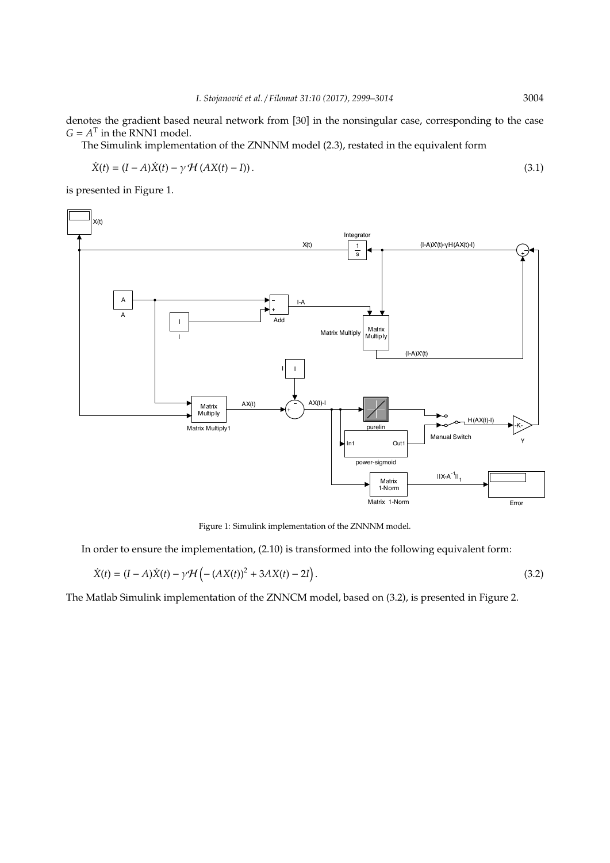denotes the gradient based neural network from [30] in the nonsingular case, corresponding to the case  $G = A<sup>T</sup>$  in the RNN1 model.

The Simulink implementation of the ZNNNM model (2.3), restated in the equivalent form

$$
\dot{X}(t) = (I - A)\dot{X}(t) - \gamma \mathcal{H}(AX(t) - I)).
$$
\n(3.1)

is presented in Figure 1.



Figure 1: Simulink implementation of the ZNNNM model.

In order to ensure the implementation, (2.10) is transformed into the following equivalent form:

$$
\dot{X}(t) = (I - A)\dot{X}(t) - \gamma \mathcal{H} (-(AX(t))^{2} + 3AX(t) - 2I).
$$
\n(3.2)

The Matlab Simulink implementation of the ZNNCM model, based on (3.2), is presented in Figure 2.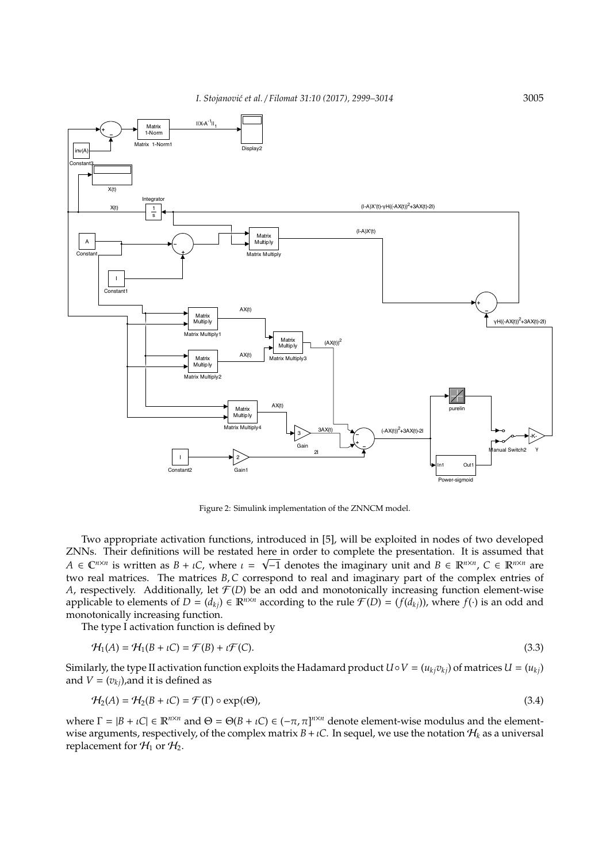*I. Stojanovi´c et al.* / *Filomat 31:10 (2017), 2999–3014* 3005



Figure 2: Simulink implementation of the ZNNCM model.

Two appropriate activation functions, introduced in [5], will be exploited in nodes of two developed ZNNs. Their definitions will be restated here in order to complete the presentation. It is assumed that  $A \in \mathbb{C}^{n \times n}$  is written as  $B + \iota C$ , where  $\iota = \sqrt{-1}$  denotes the imaginary unit and  $B \in \mathbb{R}^{n \times n}$ ,  $C \in \mathbb{R}^{n \times n}$  are two real matrices. The matrices *B*,*C* correspond to real and imaginary part of the complex entries of *A*, respectively. Additionally, let  $\mathcal{F}(D)$  be an odd and monotonically increasing function element-wise applicable to elements of  $D = (d_{ki}) \in \mathbb{R}^{n \times n}$  according to the rule  $\mathcal{F}(D) = (f(d_{ki}))$ , where  $f(\cdot)$  is an odd and monotonically increasing function.

The type I activation function is defined by

$$
\mathcal{H}_1(A) = \mathcal{H}_1(B + \iota C) = \mathcal{F}(B) + \iota \mathcal{F}(C). \tag{3.3}
$$

Similarly, the type II activation function exploits the Hadamard product  $U \circ V = (u_{ki}v_{ki})$  of matrices  $U = (u_{ki})$ and  $V = (v_{ki})$ , and it is defined as

$$
\mathcal{H}_2(A) = \mathcal{H}_2(B + \iota C) = \mathcal{F}(\Gamma) \circ \exp(\iota \Theta),\tag{3.4}
$$

where  $\Gamma = |B + \iota C| \in \mathbb{R}^{n \times n}$  and  $\Theta = \Theta(B + \iota C) \in (-\pi, \pi]^{n \times n}$  denote element-wise modulus and the elementwise arguments, respectively, of the complex matrix  $B + \iota C$ . In sequel, we use the notation  $H_k$  as a universal replacement for  $\mathcal{H}_1$  or  $\mathcal{H}_2$ .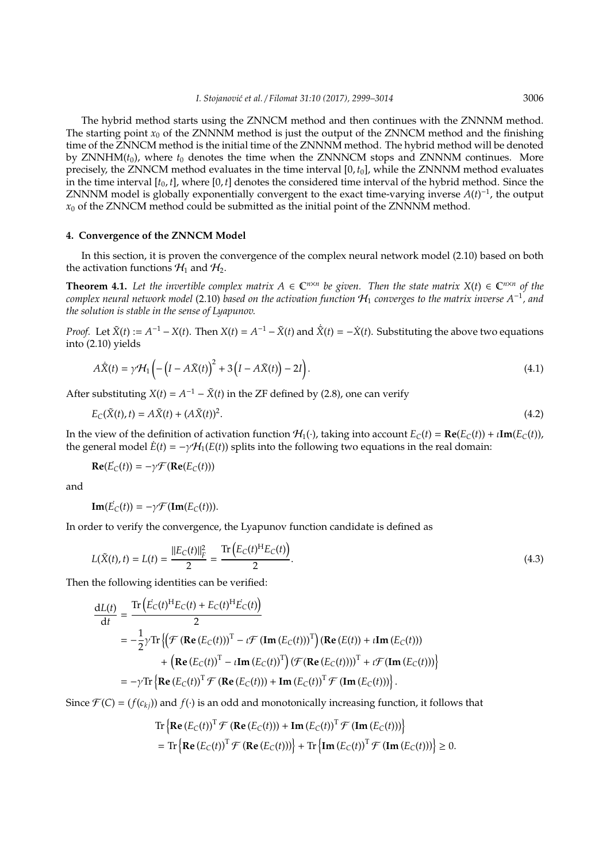The hybrid method starts using the ZNNCM method and then continues with the ZNNNM method. The starting point  $x_0$  of the ZNNNM method is just the output of the ZNNCM method and the finishing time of the ZNNCM method is the initial time of the ZNNNM method. The hybrid method will be denoted by ZNNHM( $t_0$ ), where  $t_0$  denotes the time when the ZNNNCM stops and ZNNNM continues. More precisely, the ZNNCM method evaluates in the time interval  $[0, t_0]$ , while the ZNNNM method evaluates in the time interval [*t*0, *t*], where [0, *t*] denotes the considered time interval of the hybrid method. Since the ZNNNM model is globally exponentially convergent to the exact time-varying inverse  $A(t)^{-1}$ , the output  $x_0$  of the ZNNCM method could be submitted as the initial point of the ZNNNM method.

## **4. Convergence of the ZNNCM Model**

In this section, it is proven the convergence of the complex neural network model (2.10) based on both the activation functions  $\mathcal{H}_1$  and  $\mathcal{H}_2$ .

**Theorem 4.1.** Let the invertible complex matrix  $A \in \mathbb{C}^{n \times n}$  be given. Then the state matrix  $X(t) \in \mathbb{C}^{n \times n}$  of the *complex neural network model* (2.10) *based on the activation function* H<sup>1</sup> *converges to the matrix inverse A*−<sup>1</sup> *, and the solution is stable in the sense of Lyapunov.*

*Proof.* Let  $\tilde{X}(t) := A^{-1} - X(t)$ . Then  $X(t) = A^{-1} - \tilde{X}(t)$  and  $\dot{\tilde{X}}(t) = -\dot{X}(t)$ . Substituting the above two equations into (2.10) yields

$$
A\tilde{X}(t) = \gamma \mathcal{H}_1 \left( -\left(I - A\tilde{X}(t)\right)^2 + 3\left(I - A\tilde{X}(t)\right) - 2I\right).
$$
\n(4.1)

After substituting  $X(t) = A^{-1} - \tilde{X}(t)$  in the ZF defined by (2.8), one can verify

$$
E_{\mathcal{C}}(\tilde{\mathbf{X}}(t),t) = A\tilde{\mathbf{X}}(t) + (A\tilde{\mathbf{X}}(t))^2.
$$
\n
$$
(4.2)
$$

In the view of the definition of activation function  $H_1(\cdot)$ , taking into account  $E_C(t) = \text{Re}(E_C(t)) + \iota \text{Im}(E_C(t))$ , the general model  $\dot{E}(t) = -\gamma \mathcal{H}_1(E(t))$  splits into the following two equations in the real domain:

$$
\mathbf{Re}(\vec{E}_C(t)) = -\gamma \mathcal{F}(\mathbf{Re}(E_C(t)))
$$

and

 $\textbf{Im}(\vec{E}_C(t)) = -\gamma \mathcal{F}(\textbf{Im}(E_C(t))).$ 

In order to verify the convergence, the Lyapunov function candidate is defined as

$$
L(\tilde{X}(t), t) = L(t) = \frac{||E_C(t)||_F^2}{2} = \frac{\text{Tr}\left(E_C(t)^H E_C(t)\right)}{2}.
$$
\n(4.3)

Then the following identities can be verified:

$$
\frac{dL(t)}{dt} = \frac{\text{Tr}\left(\dot{E}_C(t)^H E_C(t) + E_C(t)^H \dot{E}_C(t)\right)}{2}
$$
\n
$$
= -\frac{1}{2} \gamma \text{Tr}\left\{\left(\mathcal{F}\left(\mathbf{Re}\left(E_C(t)\right)\right)^T - \iota \mathcal{F}\left(\mathbf{Im}\left(E_C(t)\right)\right)^T\right) \left(\mathbf{Re}\left(E(t)\right) + \iota \mathbf{Im}\left(E_C(t)\right)\right) \right\}
$$
\n
$$
+ \left(\mathbf{Re}\left(E_C(t)\right)^T - \iota \mathbf{Im}\left(E_C(t)\right)^T\right) \left(\mathcal{F}\left(\mathbf{Re}\left(E_C(t)\right)\right)\right)^T + \iota \mathcal{F}\left(\mathbf{Im}\left(E_C(t)\right)\right) \right\}
$$
\n
$$
= -\gamma \text{Tr}\left\{\mathbf{Re}\left(E_C(t)\right)^T \mathcal{F}\left(\mathbf{Re}\left(E_C(t)\right)\right) + \mathbf{Im}\left(E_C(t)\right)^T \mathcal{F}\left(\mathbf{Im}\left(E_C(t)\right)\right)\right\}.
$$

Since  $\mathcal{F}(C) = (f(c_{ki}))$  and  $f(\cdot)$  is an odd and monotonically increasing function, it follows that

$$
\mathrm{Tr}\left\{\mathbf{Re}\left(E_C(t)\right)^T \mathcal{F}\left(\mathbf{Re}\left(E_C(t)\right)\right) + \mathbf{Im}\left(E_C(t)\right)^T \mathcal{F}\left(\mathbf{Im}\left(E_C(t)\right)\right)\right\}
$$
\n
$$
= \mathrm{Tr}\left\{\mathbf{Re}\left(E_C(t)\right)^T \mathcal{F}\left(\mathbf{Re}\left(E_C(t)\right)\right)\right\} + \mathrm{Tr}\left\{\mathbf{Im}\left(E_C(t)\right)^T \mathcal{F}\left(\mathbf{Im}\left(E_C(t)\right)\right)\right\} \ge 0.
$$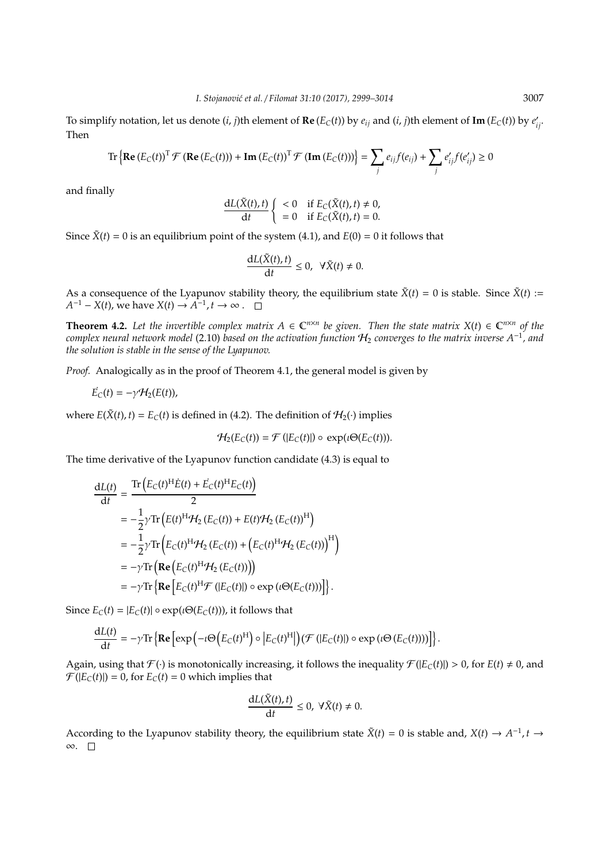To simplify notation, let us denote  $(i, j)$ th element of **Re** ( $E_C(t)$ ) by  $e_{ij}$  and ( $i, j$ )th element of **Im** ( $E_C(t)$ ) by  $e'_{ij}$ . Then

$$
\operatorname{Tr}\left\{\operatorname{Re}\left(E_C(t)\right)^{\mathrm{T}}\mathcal{F}\left(\operatorname{Re}\left(E_C(t)\right)\right) + \operatorname{Im}\left(E_C(t)\right)^{\mathrm{T}}\mathcal{F}\left(\operatorname{Im}\left(E_C(t)\right)\right)\right\} = \sum_j e_{ij}f(e_{ij}) + \sum_j e'_{ij}f(e'_{ij}) \ge 0
$$

and finally

$$
\frac{dL(\tilde{X}(t),t)}{dt} \left\{ \begin{array}{ll} <0 & \text{if } E_C(\tilde{X}(t),t) \neq 0, \\ =0 & \text{if } E_C(\tilde{X}(t),t) = 0. \end{array} \right.
$$

Since  $\tilde{X}(t) = 0$  is an equilibrium point of the system (4.1), and  $E(0) = 0$  it follows that

$$
\frac{\mathrm{d}L(\tilde{X}(t),t)}{\mathrm{d}t}\leq 0,\ \ \forall \tilde{X}(t)\neq 0.
$$

As a consequence of the Lyapunov stability theory, the equilibrium state  $\tilde{X}(t) = 0$  is stable. Since  $\tilde{X}(t) :=$  $A^{-1} - X(t)$ , we have  $X(t) \rightarrow A^{-1}$ ,  $t \rightarrow \infty$ .

**Theorem 4.2.** Let the invertible complex matrix  $A \in \mathbb{C}^{n \times n}$  be given. Then the state matrix  $X(t) \in \mathbb{C}^{n \times n}$  of the *complex neural network model* (2.10) *based on the activation function* H<sup>2</sup> *converges to the matrix inverse A*<sup>−</sup><sup>1</sup> *, and the solution is stable in the sense of the Lyapunov.*

*Proof.* Analogically as in the proof of Theorem 4.1, the general model is given by

$$
\vec{E}_C(t)=-\gamma\mathcal{H}_2(E(t)),
$$

where  $E(\tilde{X}(t), t) = E_C(t)$  is defined in (4.2). The definition of  $H_2(\cdot)$  implies

$$
\mathcal{H}_2(E_C(t)) = \mathcal{F}\left(|E_C(t)|\right) \circ \, \exp(\iota \Theta(E_C(t))).
$$

The time derivative of the Lyapunov function candidate (4.3) is equal to

$$
\frac{dL(t)}{dt} = \frac{\text{Tr}\left(E_C(t)^H \dot{E}(t) + \dot{E}_C(t)^H E_C(t)\right)}{2}
$$
\n
$$
= -\frac{1}{2} \gamma \text{Tr}\left(E(t)^H \mathcal{H}_2\left(E_C(t)\right) + E(t) \mathcal{H}_2\left(E_C(t)\right)^H\right)
$$
\n
$$
= -\frac{1}{2} \gamma \text{Tr}\left(E_C(t)^H \mathcal{H}_2\left(E_C(t)\right) + \left(E_C(t)^H \mathcal{H}_2\left(E_C(t)\right)\right)^H\right)
$$
\n
$$
= -\gamma \text{Tr}\left(\text{Re}\left(E_C(t)^H \mathcal{H}_2\left(E_C(t)\right)\right)\right)
$$
\n
$$
= -\gamma \text{Tr}\left\{\text{Re}\left[E_C(t)^H \mathcal{F}\left(|E_C(t)|\right) \circ \exp\left(i\Theta(E_C(t))\right)\right]\right\}.
$$

Since  $E_C(t) = |E_C(t)| \circ \exp(i\Theta(E_C(t)))$ , it follows that

$$
\frac{dL(t)}{dt} = -\gamma \text{Tr}\left\{ \mathbf{Re} \left[ \exp\left( -\iota \Theta \left( E_C(t)^H \right) \circ \left| E_C(t)^H \right| \right) (\mathcal{F} \left( \left| E_C(t) \right|) \circ \exp \left( \iota \Theta \left( E_C(t) \right) \right) \right) \right] \right\}.
$$

Again, using that  $\mathcal{F}(\cdot)$  is monotonically increasing, it follows the inequality  $\mathcal{F}(|E_C(t)|) > 0$ , for  $E(t) \neq 0$ , and  $\mathcal{F}(|E_C(t)|) = 0$ , for  $E_C(t) = 0$  which implies that

$$
\frac{\mathrm{d}L(\tilde{X}(t),t)}{\mathrm{d}t}\leq 0,\ \forall \tilde{X}(t)\neq 0.
$$

According to the Lyapunov stability theory, the equilibrium state  $\tilde{X}(t) = 0$  is stable and,  $X(t) \to A^{-1}$ ,  $t \to \infty$ ∞.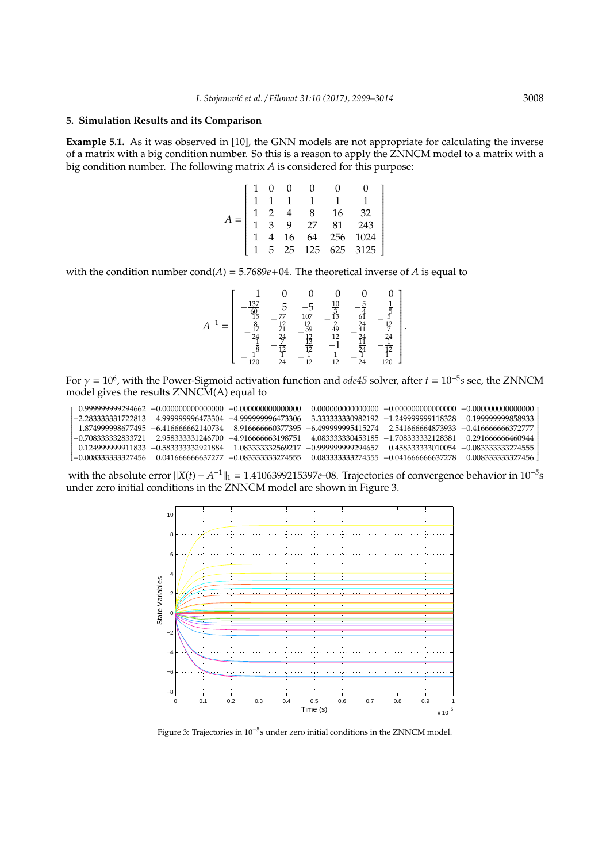## **5. Simulation Results and its Comparison**

**Example 5.1.** As it was observed in [10], the GNN models are not appropriate for calculating the inverse of a matrix with a big condition number. So this is a reason to apply the ZNNCM model to a matrix with a big condition number. The following matrix *A* is considered for this purpose:

|  |  |  | $\left[ \begin{array}{ccccccc} 1 & 0 & 0 & 0 & 0 & 0 \\ 1 & 1 & 1 & 1 & 1 & 1 \\ 1 & 2 & 4 & 8 & 16 & 32 \\ 1 & 3 & 9 & 27 & 81 & 243 \\ 1 & 4 & 16 & 64 & 256 & 1024 \\ 1 & 5 & 25 & 125 & 625 & 3125 \end{array} \right]$ |
|--|--|--|-----------------------------------------------------------------------------------------------------------------------------------------------------------------------------------------------------------------------------|

with the condition number  $cond(A) = 5.7689e + 04$ . The theoretical inverse of *A* is equal to

$$
A^{-1} = \begin{bmatrix} 1 & 0 & 0 & 0 & 0 & 0 \\ -\frac{137}{60} & 5 & -5 & \frac{10}{3} & -\frac{5}{4} & \frac{1}{5} \\ \frac{15}{8} & -\frac{77}{12} & \frac{107}{12} & -\frac{13}{2} & \frac{61}{24} & -\frac{5}{12} \\ -\frac{17}{24} & \frac{71}{24} & -\frac{59}{12} & \frac{49}{42} & -\frac{41}{44} & \frac{7}{24} \\ -\frac{7}{12} & -\frac{7}{12} & \frac{13}{12} & -1 & \frac{71}{11} & -\frac{1}{11} \\ -\frac{1}{120} & \frac{7}{24} & -\frac{1}{12} & \frac{1}{12} & -\frac{1}{24} & \frac{1}{120} \end{bmatrix}.
$$

For  $\gamma = 10^6$ , with the Power-Sigmoid activation function and *ode45* solver, after  $t = 10^{-5}$ s sec, the ZNNCM model gives the results ZNNCM(A) equal to

|  | $0.999999999294662 - 0.00000000000000 - 0.000000000000000$ |                                                                |                                                                                                                 |                                                            |                                                            |
|--|------------------------------------------------------------|----------------------------------------------------------------|-----------------------------------------------------------------------------------------------------------------|------------------------------------------------------------|------------------------------------------------------------|
|  |                                                            | $-2.283333331722813$ $-4.999999996473304$ $-4.999999996473306$ |                                                                                                                 | 3.333333330982192 -1.24999999118328 0.199999999858933      |                                                            |
|  |                                                            |                                                                | 1.874999998677495 -6.416666662140734 -8.916666660377395 -6.499999995415274 -2.541666664873933 -0.41666666372777 |                                                            |                                                            |
|  |                                                            | $-0.7083333332833721$ 2.958333331246700 $-4.916666663198751$   |                                                                                                                 | $4.083333330453185 -1.708333332128381 - 0.291666666460944$ |                                                            |
|  | 0.124999999911833 -0.583333332921884                       | 1.083333332569217                                              | $-0.99999999294657$ $0.458333333010054$ $-0.083333333274555$                                                    |                                                            |                                                            |
|  |                                                            | 0.041666666637277 -0.083333333274555                           |                                                                                                                 |                                                            | $0.083333333274555 - 0.04166666637278 - 0.008333333327456$ |

with the absolute error  $||X(t) - A^{-1}||_1 = 1.4106399215397e$ –08. Trajectories of convergence behavior in 10<sup>-5</sup>s under zero initial conditions in the ZNNCM model are shown in Figure 3.



Figure 3: Trajectories in 10<sup>-5</sup>s under zero initial conditions in the ZNNCM model.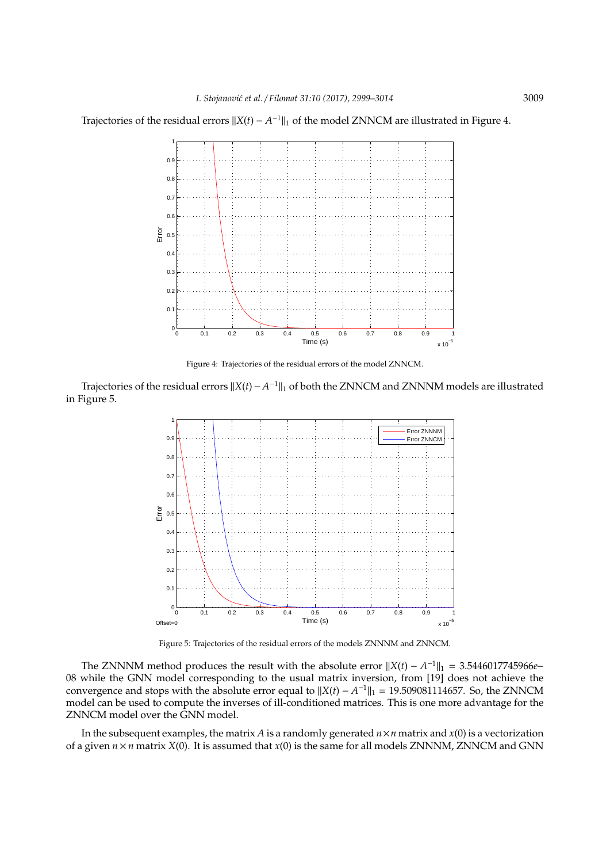Trajectories of the residual errors  $||X(t) - A^{-1}||_1$  of the model ZNNCM are illustrated in Figure 4.



Figure 4: Trajectories of the residual errors of the model ZNNCM.

Trajectories of the residual errors  $||X(t) - A^{-1}||_1$  of both the ZNNCM and ZNNNM models are illustrated in Figure 5.



Figure 5: Trajectories of the residual errors of the models ZNNNM and ZNNCM.

The ZNNNM method produces the result with the absolute error  $||X(t) - A^{-1}||_1 = 3.5446017745966e$ 08 while the GNN model corresponding to the usual matrix inversion, from [19] does not achieve the convergence and stops with the absolute error equal to  $||X(t) - A^{-1}||_1 = 19.509081114657$ . So, the ZNNCM model can be used to compute the inverses of ill-conditioned matrices. This is one more advantage for the ZNNCM model over the GNN model.

In the subsequent examples, the matrix *A* is a randomly generated  $n \times n$  matrix and  $x(0)$  is a vectorization of a given  $n \times n$  matrix  $X(0)$ . It is assumed that  $x(0)$  is the same for all models ZNNNM, ZNNCM and GNN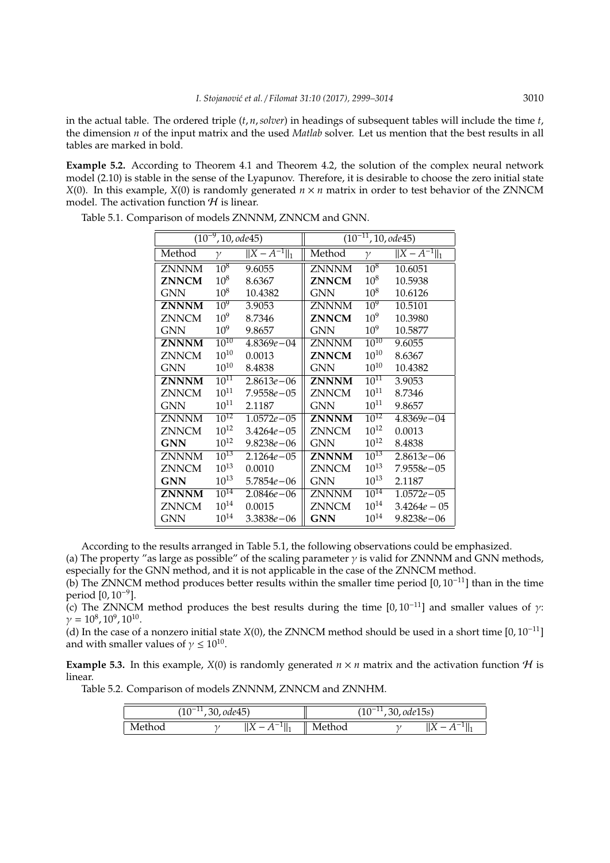in the actual table. The ordered triple (*t*, *n*,*solver*) in headings of subsequent tables will include the time *t*, the dimension *n* of the input matrix and the used *Matlab* solver. Let us mention that the best results in all tables are marked in bold.

**Example 5.2.** According to Theorem 4.1 and Theorem 4.2, the solution of the complex neural network model (2.10) is stable in the sense of the Lyapunov. Therefore, it is desirable to choose the zero initial state *X*(0). In this example, *X*(0) is randomly generated *n* × *n* matrix in order to test behavior of the ZNNCM model. The activation function  $H$  is linear.

|              | $\overline{(10^{-9}, 10, \text{ode}45)}$ |                               | $\overline{(10^{-11}, 10, ode45)}$ |                 |                    |  |
|--------------|------------------------------------------|-------------------------------|------------------------------------|-----------------|--------------------|--|
| Method       | γ                                        | $\overline{  X - A^{-1}  _1}$ | Method                             | γ               | $  X - A^{-1}  _1$ |  |
| <b>ZNNNM</b> | $10^{8}$                                 | 9.6055                        | ZNNNM                              | $10^{8}$        | 10.6051            |  |
| <b>ZNNCM</b> | $10^{8}$                                 | 8.6367                        | <b>ZNNCM</b>                       | 10 <sup>8</sup> | 10.5938            |  |
| GNN          | $10^{8}$                                 | 10.4382                       | <b>GNN</b>                         | $10^{8}$        | 10.6126            |  |
| <b>ZNNNM</b> | $10^{9}$                                 | 3.9053                        | ZNNNM                              | $10^{9}$        | 10.5101            |  |
| <b>ZNNCM</b> | 10 <sup>9</sup>                          | 8.7346                        | <b>ZNNCM</b>                       | $10^{9}$        | 10.3980            |  |
| <b>GNN</b>   | 10 <sup>9</sup>                          | 9.8657                        | <b>GNN</b>                         | 10 <sup>9</sup> | 10.5877            |  |
| <b>ZNNNM</b> | $10^{10}$                                | $4.8369e - 04$                | ZNNNM                              | $10^{10}$       | 9.6055             |  |
| <b>ZNNCM</b> | $10^{10}$                                | 0.0013                        | <b>ZNNCM</b>                       | $10^{10}$       | 8.6367             |  |
| GNN          | $10^{10}$                                | 8.4838                        | GNN                                | $10^{10}$       | 10.4382            |  |
| <b>ZNNNM</b> | $10^{11}$                                | $2.8613e - 06$                | <b>ZNNNM</b>                       | $10^{11}$       | 3.9053             |  |
| <b>ZNNCM</b> | $10^{11}$                                | 7.9558e – 05                  | <b>ZNNCM</b>                       | $10^{11}$       | 8.7346             |  |
| <b>GNN</b>   | $10^{11}$                                | 2.1187                        | <b>GNN</b>                         | $10^{11}$       | 9.8657             |  |
| <b>ZNNNM</b> | $10^{12}$                                | $1.0572e - 05$                | <b>ZNNNM</b>                       | $10^{12}$       | $4.8369e - 04$     |  |
| <b>ZNNCM</b> | $10^{12}$                                | $3.4264e - 05$                | ZNNCM                              | $10^{12}$       | 0.0013             |  |
| <b>GNN</b>   | $10^{12}$                                | $9.8238e - 06$                | <b>GNN</b>                         | $10^{12}$       | 8.4838             |  |
| <b>ZNNNM</b> | $10^{13}$                                | $2.1264e - 05$                | ZNNNM                              | $10^{13}$       | $2.8613e - 06$     |  |
| <b>ZNNCM</b> | $10^{13}$                                | 0.0010                        | <b>ZNNCM</b>                       | $10^{13}$       | $7.9558e - 05$     |  |
| <b>GNN</b>   | $10^{13}$                                | $5.7854e - 06$                | <b>GNN</b>                         | $10^{13}$       | 2.1187             |  |
| <b>ZNNNM</b> | $10^{14}$                                | $2.0846e - 06$                | ZNNNM                              | $10^{14}$       | $1.0572e - 05$     |  |
| <b>ZNNCM</b> | $10^{14}$                                | 0.0015                        | ZNNCM                              | $10^{14}$       | $3.4264e - 05$     |  |
| GNN          | $10^{14}$                                | 3.3838e-06                    | GNN                                | $10^{14}$       | $9.8238e - 06$     |  |

Table 5.1. Comparison of models ZNNNM, ZNNCM and GNN.

According to the results arranged in Table 5.1, the following observations could be emphasized.

(a) The property "as large as possible" of the scaling parameter  $\gamma$  is valid for ZNNNM and GNN methods, especially for the GNN method, and it is not applicable in the case of the ZNNCM method.

(b) The ZNNCM method produces better results within the smaller time period [0, 10<sup>−</sup>11] than in the time period [0, 10<sup>-9</sup>].

(c) The ZNNCM method produces the best results during the time  $[0, 10^{-11}]$  and smaller values of  $\gamma$ :  $\gamma = 10^8, 10^9, 10^{10}.$ 

(d) In the case of a nonzero initial state *X*(0), the ZNNCM method should be used in a short time [0, 10<sup>−</sup><sup>11</sup>] and with smaller values of  $\gamma \leq 10^{10}$ .

**Example 5.3.** In this example, *X*(0) is randomly generated  $n \times n$  matrix and the activation function *H* is linear.

Table 5.2. Comparison of models ZNNNM, ZNNCM and ZNNHM.

|        | $\Omega$<br><br>ΨU | $, \overline{30, ode45})$                         | $\overline{30, \text{ode}}15s$<br>$\Omega$<br>. .<br>ΨU |  |                                  |  |
|--------|--------------------|---------------------------------------------------|---------------------------------------------------------|--|----------------------------------|--|
| Method |                    | -<br>$\overline{\phantom{0}}$<br>ב∡ןן<br>ш<br>. . | Method                                                  |  | $\overline{\phantom{a}}$<br>14 Y |  |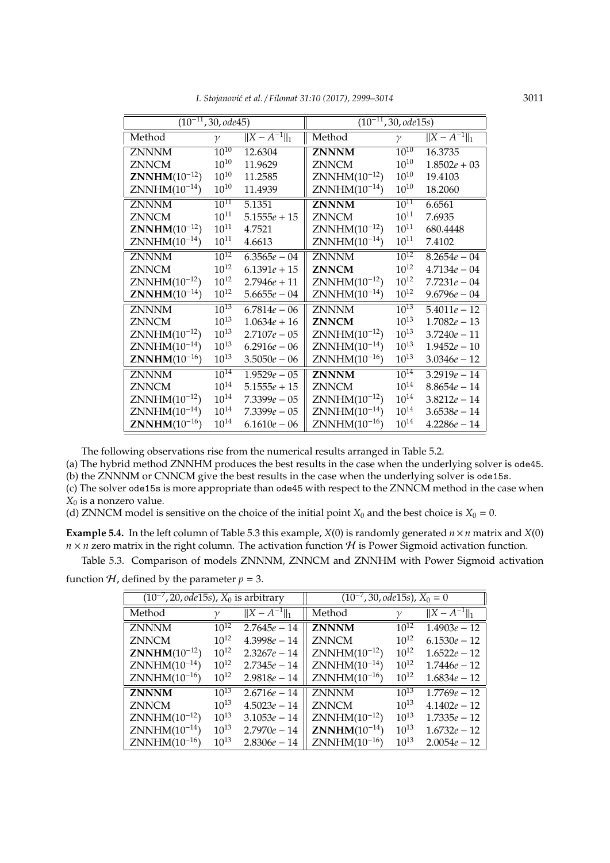|  |  |  | I. Stojanović et al. / Filomat 31:10 (2017), 2999–3014 | 3011 |
|--|--|--|--------------------------------------------------------|------|
|--|--|--|--------------------------------------------------------|------|

| $\overline{(10^{-11}, 30, ode45)}$ |              | $\overline{(10^{-11}, 30, ode15s)}$ |                   |              |                    |
|------------------------------------|--------------|-------------------------------------|-------------------|--------------|--------------------|
| Method                             | $\mathcal V$ | $  X - A^{-1}  _1$                  | Method            | $\mathcal V$ | $  X - A^{-1}  _1$ |
| <b>ZNNNM</b>                       | $10^{10}$    | 12.6304                             | <b>ZNNNM</b>      | $10^{10}$    | 16.3735            |
| <b>ZNNCM</b>                       | $10^{10}$    | 11.9629                             | <b>ZNNCM</b>      | $10^{10}$    | $1.8502e + 03$     |
| $ZNNHM(10^{-12})$                  | $10^{10}$    | 11.2585                             | $ZNNHM(10^{-12})$ | $10^{10}$    | 19.4103            |
| $ZNNHM(10^{-14})$                  | $10^{10}$    | 11.4939                             | $ZNNHM(10^{-14})$ | $10^{10}$    | 18.2060            |
| <b>ZNNNM</b>                       | $10^{11}$    | 5.1351                              | <b>ZNNNM</b>      | $10^{11}$    | 6.6561             |
| <b>ZNNCM</b>                       | $10^{11}$    | $5.1555e + 15$                      | <b>ZNNCM</b>      | $10^{11}$    | 7.6935             |
| <b>ZNNHM</b> $(10^{-12})$          | $10^{11}$    | 4.7521                              | $ZNNHM(10^{-12})$ | $10^{11}$    | 680.4448           |
| $ZNNHM(10^{-14})$                  | $10^{11}$    | 4.6613                              | $ZNNHM(10^{-14})$ | $10^{11}$    | 7.4102             |
| <b>ZNNNM</b>                       | $10^{12}$    | $6.3565e - 04$                      | <b>ZNNNM</b>      | $10^{12}$    | $8.2654e - 04$     |
| <b>ZNNCM</b>                       | $10^{12}$    | $6.1391e + 15$                      | <b>ZNNCM</b>      | $10^{12}$    | $4.7134e - 04$     |
| $ZNNHM(10^{-12})$                  | $10^{12}$    | $2.7946e + 11$                      | $ZNNHM(10^{-12})$ | $10^{12}$    | $7.7231e - 04$     |
| <b>ZNNHM</b> $(10^{-14})$          | $10^{12}$    | $5.6655e - 04$                      | $ZNNHM(10^{-14})$ | $10^{12}$    | $9.6796e - 04$     |
| <b>ZNNNM</b>                       | $10^{13}$    | $6.7814e - 06$                      | <b>ZNNNM</b>      | $10^{13}$    | $5.4011e - 12$     |
| <b>ZNNCM</b>                       | $10^{13}$    | $1.0634e + 16$                      | <b>ZNNCM</b>      | $10^{13}$    | $1.7082e - 13$     |
| $ZNNHM(10^{-12})$                  | $10^{13}$    | $2.7107e - 05$                      | $ZNNHM(10^{-12})$ | $10^{13}$    | $3.7240e - 11$     |
| $ZNNHM(10^{-14})$                  | $10^{13}$    | $6.2916e - 06$                      | $ZNNHM(10^{-14})$ | $10^{13}$    | $1.9452e - 10$     |
| <b>ZNNHM</b> $(10^{-16})$          | $10^{13}$    | $3.5050e - 06$                      | $ZNNHM(10^{-16})$ | $10^{13}$    | $3.0346e - 12$     |
| <b>ZNNNM</b>                       | $10^{14}$    | $1.9529e - 05$                      | <b>ZNNNM</b>      | $10^{14}$    | $3.2919e - 14$     |
| <b>ZNNCM</b>                       | $10^{14}$    | $5.1555e + 15$                      | <b>ZNNCM</b>      | $10^{14}$    | $8.8654e - 14$     |
| $ZNNHM(10^{-12})$                  | $10^{14}$    | $7.3399e - 05$                      | $ZNNHM(10^{-12})$ | $10^{14}$    | $3.8212e - 14$     |
| $ZNNHM(10^{-14})$                  | $10^{14}$    | $7.3399e - 05$                      | $ZNNHM(10^{-14})$ | $10^{14}$    | $3.6538e - 14$     |
| <b>ZNNHM</b> $(10^{-16})$          | $10^{14}$    | $6.1610e - 06$                      | $ZNNHM(10^{-16})$ | $10^{14}$    | $4.2286e - 14$     |

The following observations rise from the numerical results arranged in Table 5.2.

(a) The hybrid method ZNNHM produces the best results in the case when the underlying solver is ode45.

(b) the ZNNNM or CNNCM give the best results in the case when the underlying solver is ode15s.

(c) The solver ode15s is more appropriate than ode45 with respect to the ZNNCM method in the case when *X*<sup>0</sup> is a nonzero value.

(d) ZNNCM model is sensitive on the choice of the initial point  $X_0$  and the best choice is  $X_0 = 0$ .

**Example 5.4.** In the left column of Table 5.3 this example,  $X(0)$  is randomly generated  $n \times n$  matrix and  $X(0)$  $n \times n$  zero matrix in the right column. The activation function  $H$  is Power Sigmoid activation function.

Table 5.3. Comparison of models ZNNNM, ZNNCM and ZNNHM with Power Sigmoid activation

function  $H$ , defined by the parameter  $p = 3$ .

| $\sqrt{(10^{-7}, 20)}$ , ode15s), $X_0$ is arbitrary |           | $(10^{-7}, 30, ode15s), X_0 = 0$ |                           |              |                    |
|------------------------------------------------------|-----------|----------------------------------|---------------------------|--------------|--------------------|
| Method                                               | $\gamma$  | $  X - A^{-1}  _1$               | Method                    | $\mathcal V$ | $  X - A^{-1}  _1$ |
| <b>ZNNNM</b>                                         | $10^{12}$ | $2.7645e - 14$                   | <b>ZNNNM</b>              | $10^{12}$    | $1.4903e - 12$     |
| <b>ZNNCM</b>                                         | $10^{12}$ | $4.3998e - 14$                   | <b>ZNNCM</b>              | $10^{12}$    | $6.1530e - 12$     |
| <b>ZNNHM</b> $(10^{-12})$                            | $10^{12}$ | $2.3267e - 14$                   | $ZNNHM(10^{-12})$         | $10^{12}$    | $1.6522e - 12$     |
| $ZNNHM(10^{-14})$                                    | $10^{12}$ | $2.7345e - 14$                   | $ZNNHM(10^{-14})$         | $10^{12}$    | $1.7446e - 12$     |
| $ZNNHM(10^{-16})$                                    | $10^{12}$ | $2.9818e - 14$                   | $ZNNHM(10^{-16})$         | $10^{12}$    | $1.6834e - 12$     |
| <b>ZNNNM</b>                                         | $10^{13}$ | $2.6716e - 14$                   | <b>ZNNNM</b>              | $10^{13}$    | $1.7769e - 12$     |
| <b>ZNNCM</b>                                         | $10^{13}$ | $4.5023e - 14$                   | <b>ZNNCM</b>              | $10^{13}$    | $4.1402e - 12$     |
| $ZNNHM(10^{-12})$                                    | $10^{13}$ | $3.1053e - 14$                   | $ZNNHM(10^{-12})$         | $10^{13}$    | $1.7335e - 12$     |
| $ZNNHM(10^{-14})$                                    | $10^{13}$ | $2.7970e - 14$                   | <b>ZNNHM</b> $(10^{-14})$ | $10^{13}$    | $1.6732e - 12$     |
| $ZNNHM(10^{-16})$                                    | $10^{13}$ | $2.8306e - 14$                   | $ZNNHM(10^{-16})$         | $10^{13}$    | $2.0054e - 12$     |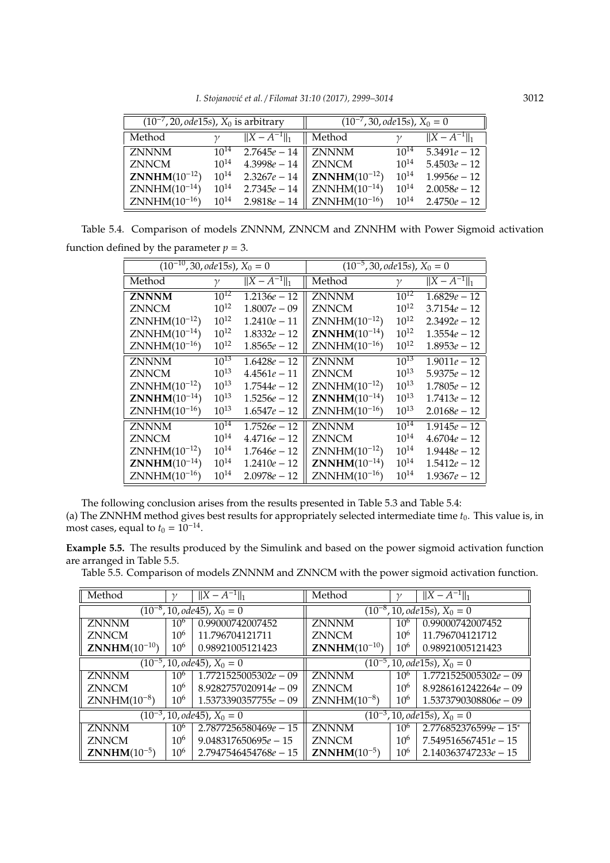*I. Stojanovi´c et al.* / *Filomat 31:10 (2017), 2999–3014* 3012

| $(10^{-7}, 20,$ ode15s), $X_0$ is arbitrary |           | $(10^{-7}, 30, ode15s), X_0 = 0$ |                           |           |                    |
|---------------------------------------------|-----------|----------------------------------|---------------------------|-----------|--------------------|
| Method                                      |           | $  X - A^{-1}  _1$               | Method                    |           | $  X - A^{-1}  _1$ |
| <b>ZNNNM</b>                                | $10^{14}$ | $2.7645e - 14$                   | <b>ZNNNM</b>              | $10^{14}$ | $5.3491e - 12$     |
| <b>ZNNCM</b>                                | $10^{14}$ | $4.3998e - 14$                   | <b>ZNNCM</b>              | $10^{14}$ | $5.4503e - 12$     |
| <b>ZNNHM</b> $(10^{-12})$                   | $10^{14}$ | $2.3267e - 14$                   | <b>ZNNHM</b> $(10^{-12})$ | $10^{14}$ | $1.9956e - 12$     |
| $ZNNHM(10^{-14})$                           | $10^{14}$ | $2.7345e - 14$                   | $ZNNHM(10^{-14})$         | $10^{14}$ | $2.0058e - 12$     |
| $ZNNHM(10^{-16})$                           | $10^{14}$ | $2.9818e - 14$                   | $ZNNHM(10^{-16})$         | $10^{14}$ | $2.4750e - 12$     |

Table 5.4. Comparison of models ZNNNM, ZNNCM and ZNNHM with Power Sigmoid activation function defined by the parameter  $p = 3$ .

| $\overline{(10^{-10}, 30, ode15s)}$ , $X_0 = 0$ |              | $(10^{-5}, 30, ode15s), X_0 = 0$ |                           |              |                    |
|-------------------------------------------------|--------------|----------------------------------|---------------------------|--------------|--------------------|
| Method                                          | $\mathcal V$ | $  X - A^{-1}  _1$               | Method                    | $\mathcal V$ | $  X - A^{-1}  _1$ |
| <b>ZNNNM</b>                                    | $10^{12}$    | $1.2136e - 12$                   | <b>ZNNNM</b>              | $10^{12}$    | $1.6829e - 12$     |
| <b>ZNNCM</b>                                    | $10^{12}$    | $1.8007e - 09$                   | <b>ZNNCM</b>              | $10^{12}$    | $3.7154e - 12$     |
| $ZNNHM(10^{-12})$                               | $10^{12}$    | $1.2410e - 11$                   | $ZNNHM(10^{-12})$         | $10^{12}$    | $2.3492e - 12$     |
| $ZNNHM(10^{-14})$                               | $10^{12}$    | $1.8332e - 12$                   | <b>ZNNHM</b> $(10^{-14})$ | $10^{12}$    | $1.3554e - 12$     |
| $ZNNHM(10^{-16})$                               | $10^{12}$    | $1.8565e - 12$                   | $ZNNHM(10^{-16})$         | $10^{12}$    | $1.8953e - 12$     |
| <b>ZNNNM</b>                                    | $10^{13}$    | $1.6428e - 12$                   | <b>ZNNNM</b>              | $10^{13}$    | $1.9011e - 12$     |
| <b>ZNNCM</b>                                    | $10^{13}$    | $4.4561e - 11$                   | <b>ZNNCM</b>              | $10^{13}$    | $5.9375e - 12$     |
| $ZNNHM(10^{-12})$                               | $10^{13}$    | $1.7544e - 12$                   | $ZNNHM(10^{-12})$         | $10^{13}$    | $1.7805e - 12$     |
| <b>ZNNHM</b> $(10^{-14})$                       | $10^{13}$    | $1.5256e - 12$                   | <b>ZNNHM</b> $(10^{-14})$ | $10^{13}$    | $1.7413e - 12$     |
| $ZNNHM(10^{-16})$                               | $10^{13}$    | $1.6547e - 12$                   | $ZNNHM(10^{-16})$         | $10^{13}$    | $2.0168e - 12$     |
| <b>ZNNNM</b>                                    | $10^{14}$    | $1.7526e - 12$                   | <b>ZNNNM</b>              | $10^{14}$    | $1.9145e - 12$     |
| ZNNCM                                           | $10^{14}$    | $4.4716e - 12$                   | <b>ZNNCM</b>              | $10^{14}$    | $4.6704e - 12$     |
| $ZNNHM(10^{-12})$                               | $10^{14}$    | $1.7646e - 12$                   | $ZNNHM(10^{-12})$         | $10^{14}$    | $1.9448e - 12$     |
| <b>ZNNHM</b> $(10^{-14})$                       | $10^{14}$    | $1.2410e - 12$                   | <b>ZNNHM</b> $(10^{-14})$ | $10^{14}$    | $1.5412e - 12$     |
| $ZNNHM(10^{-16})$                               | $10^{14}$    | $2.0978e - 12$                   | $ZNNHM(10^{-16})$         | $10^{14}$    | $1.9367e - 12$     |

The following conclusion arises from the results presented in Table 5.3 and Table 5.4: (a) The ZNNHM method gives best results for appropriately selected intermediate time *t*0. This value is, in most cases, equal to  $t_0 = 10^{-14}$ .

**Example 5.5.** The results produced by the Simulink and based on the power sigmoid activation function are arranged in Table 5.5.

Table 5.5. Comparison of models ZNNNM and ZNNCM with the power sigmoid activation function.

| Method                                        | $\gamma$        | $  X - A^{-1}  _1$              | Method                           | $\gamma$        | $  X - A^{-1}  _1$                 |  |
|-----------------------------------------------|-----------------|---------------------------------|----------------------------------|-----------------|------------------------------------|--|
|                                               |                 | $(10^{-8}, 10, ode45), X_0 = 0$ | $(10^{-8}, 10, ode15s), X_0 = 0$ |                 |                                    |  |
| <b>ZNNNM</b>                                  | 10 <sup>6</sup> | 0.99000742007452                | <b>ZNNNM</b>                     | 10 <sup>6</sup> | 0.99000742007452                   |  |
| <b>ZNNCM</b>                                  | $10^{6}$        | 11.796704121711                 | <b>ZNNCM</b>                     | $10^{6}$        | 11.796704121712                    |  |
| <b>ZNNHM</b> $(10^{-10})$                     | 10 <sup>6</sup> | 0.98921005121423                | <b>ZNNHM</b> $(10^{-10})$        | 10 <sup>6</sup> | 0.98921005121423                   |  |
| $(10^{-5}, 10, ode45), X_0 = 0$               |                 |                                 | $(10^{-5}, 10, ode15s), X_0 = 0$ |                 |                                    |  |
| <b>ZNNNM</b>                                  | $10^{6}$        | $1.7721525005302e - 09$         | <b>ZNNNM</b>                     | $10^{6}$        | $\overline{1.7721525005302e} - 09$ |  |
| <b>ZNNCM</b>                                  | $10^{6}$        | $8.9282757020914e - 09$         | <b>ZNNCM</b>                     | $10^{6}$        | $8.9286161242264e - 09$            |  |
| $ZNNHM(10^{-8})$                              | $10^{6}$        | $1.5373390357755e - 09$         | $ZNNHM(10^{-8})$                 | $10^{6}$        | $1.5373790308806e - 09$            |  |
| $\overline{(10^{-3}, 10, ode45)}$ , $X_0 = 0$ |                 |                                 | $(10^{-3}, 10, ode15s), X_0 = 0$ |                 |                                    |  |
| <b>ZNNNM</b>                                  | $10^{6}$        | $2.7877256580469e - 15$         | <b>ZNNNM</b>                     | 10 <sup>6</sup> | $2.776852376599e - 15$ *           |  |
| <b>ZNNCM</b>                                  | $10^{6}$        | $9.048317650695e - 15$          | <b>ZNNCM</b>                     | 10 <sup>6</sup> | $7.549516567451e - 15$             |  |
| <b>ZNNHM</b> $(10^{-5})$                      | $10^{6}$        | $2.7947546454768e - 15$         | <b>ZNNHM</b> $(10^{-5})$         | 10 <sup>6</sup> | $2.140363747233e - 15$             |  |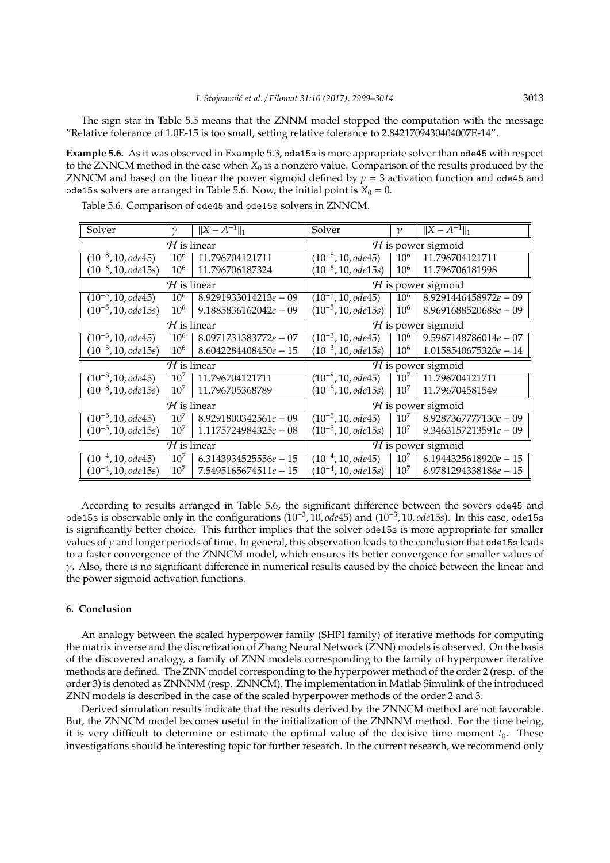The sign star in Table 5.5 means that the ZNNM model stopped the computation with the message "Relative tolerance of 1.0E-15 is too small, setting relative tolerance to 2.8421709430404007E-14".

**Example 5.6.** As it was observed in Example 5.3, ode15s is more appropriate solver than ode45 with respect to the ZNNCM method in the case when *X*<sup>0</sup> is a nonzero value. Comparison of the results produced by the ZNNCM and based on the linear the power sigmoid defined by  $p = 3$  activation function and ode45 and ode15s solvers are arranged in Table 5.6. Now, the initial point is  $X_0 = 0$ .

| Solver                            | $\gamma$                           | $  X - A^{-1}  _1$      | Solver                                   | $\mathcal V$         | $  X - A^{-1}  _1$      |  |  |
|-----------------------------------|------------------------------------|-------------------------|------------------------------------------|----------------------|-------------------------|--|--|
|                                   | $H$ is linear                      |                         | $H$ is power sigmoid                     |                      |                         |  |  |
| $(10^{-8}, 10,$ ode45)            | 10 <sup>6</sup>                    | 11.796704121711         | $(10^{-8}, 10,$ ode45)                   | 10 <sup>6</sup>      | 11.796704121711         |  |  |
| $(10^{-8}, 10, ode15s)$           | 10 <sup>6</sup>                    | 11.796706187324         | $(10^{-8}, 10, ode15s)$                  | 10 <sup>6</sup>      | 11.796706181998         |  |  |
|                                   | $H$ is linear                      |                         |                                          | $H$ is power sigmoid |                         |  |  |
| $(10^{-5}, 10,$ ode45)            | 10 <sup>6</sup>                    | $8.9291933014213e - 09$ | $(10^{-5}, 10,$ ode45)                   | 10 <sup>6</sup>      | $8.9291446458972e - 09$ |  |  |
| $(10^{-5}, 10, ode15s)$           | 10 <sup>6</sup>                    | $9.1885836162042e - 09$ | $(10^{-5}, 10, ode15s)$                  | 10 <sup>6</sup>      | $8.9691688520688e - 09$ |  |  |
|                                   | $H$ is linear                      | $H$ is power sigmoid    |                                          |                      |                         |  |  |
| $(10^{-3}, 10, ode45)$            | 10 <sup>6</sup>                    | $8.0971731383772e - 07$ | $(10^{-3}, 10,$ ode45)                   | 10 <sup>6</sup>      | $9.5967148786014e - 07$ |  |  |
| $(10^{-3}, 10, ode15s)$           | $10^{6}$                           | $8.6042284408450e - 15$ | $(10^{-3}, 10, ode15s)$                  | $10^6$               | $1.0158540675320e - 14$ |  |  |
|                                   | $\overline{\mathcal{H}}$ is linear |                         | $H$ is power sigmoid                     |                      |                         |  |  |
| $\overline{(10^{-8}, 10, ode45)}$ | $10^{7}$                           | 11.796704121711         | $\overline{(10^{-8}, 10, \text{ode}45)}$ | $10^7$               | 11.796704121711         |  |  |
| $(10^{-8}, 10, ode15s)$           | $10^{7}$                           | 11.796705368789         | $(10^{-8}, 10, ode15s)$                  | $10^7$               | 11.796704581549         |  |  |
|                                   | $\overline{\mathcal{H}}$ is linear |                         | $H$ is power sigmoid                     |                      |                         |  |  |
| $(10^{-5}, 10, ode45)$            | 10 <sup>7</sup>                    | $8.9291800342561e - 09$ | $(10^{-5}, 10, ode45)$                   | 10 <sup>7</sup>      | $8.9287367777130e - 09$ |  |  |
| $(10^{-5}, 10, ode15s)$           | $10^{7}$                           | $1.1175724984325e - 08$ | $(10^{-5}, 10, ode15s)$                  | $10^7$               | $9.3463157213591e - 09$ |  |  |
|                                   | $\mathcal H$ is linear             |                         | $H$ is power sigmoid                     |                      |                         |  |  |
| $(10^{-4}, 10,$ ode45)            | 10 <sup>7</sup>                    | $6.3143934525556e - 15$ | $(10^{-4}, 10,$ ode45)                   | $10^7$               | $6.1944325618920e - 15$ |  |  |
| $(10^{-4}, 10, ode15s)$           | $10^7$                             | $7.5495165674511e - 15$ | $(10^{-4}, 10, ode15s)$                  | $10^7$               | $6.9781294338186e - 15$ |  |  |

Table 5.6. Comparison of ode45 and ode15s solvers in ZNNCM.

According to results arranged in Table 5.6, the significant difference between the sovers ode45 and ode15s is observable only in the configurations (10<sup>−</sup><sup>3</sup> , 10, *ode*45) and (10<sup>−</sup><sup>3</sup> , 10, *ode*15*s*). In this case, ode15s is significantly better choice. This further implies that the solver ode15s is more appropriate for smaller values of  $\gamma$  and longer periods of time. In general, this observation leads to the conclusion that ode15s leads to a faster convergence of the ZNNCM model, which ensures its better convergence for smaller values of  $\gamma$ . Also, there is no significant difference in numerical results caused by the choice between the linear and the power sigmoid activation functions.

#### **6. Conclusion**

An analogy between the scaled hyperpower family (SHPI family) of iterative methods for computing the matrix inverse and the discretization of Zhang Neural Network (ZNN) models is observed. On the basis of the discovered analogy, a family of ZNN models corresponding to the family of hyperpower iterative methods are defined. The ZNN model corresponding to the hyperpower method of the order 2 (resp. of the order 3) is denoted as ZNNNM (resp. ZNNCM). The implementation in Matlab Simulink of the introduced ZNN models is described in the case of the scaled hyperpower methods of the order 2 and 3.

Derived simulation results indicate that the results derived by the ZNNCM method are not favorable. But, the ZNNCM model becomes useful in the initialization of the ZNNNM method. For the time being, it is very difficult to determine or estimate the optimal value of the decisive time moment  $t_0$ . These investigations should be interesting topic for further research. In the current research, we recommend only